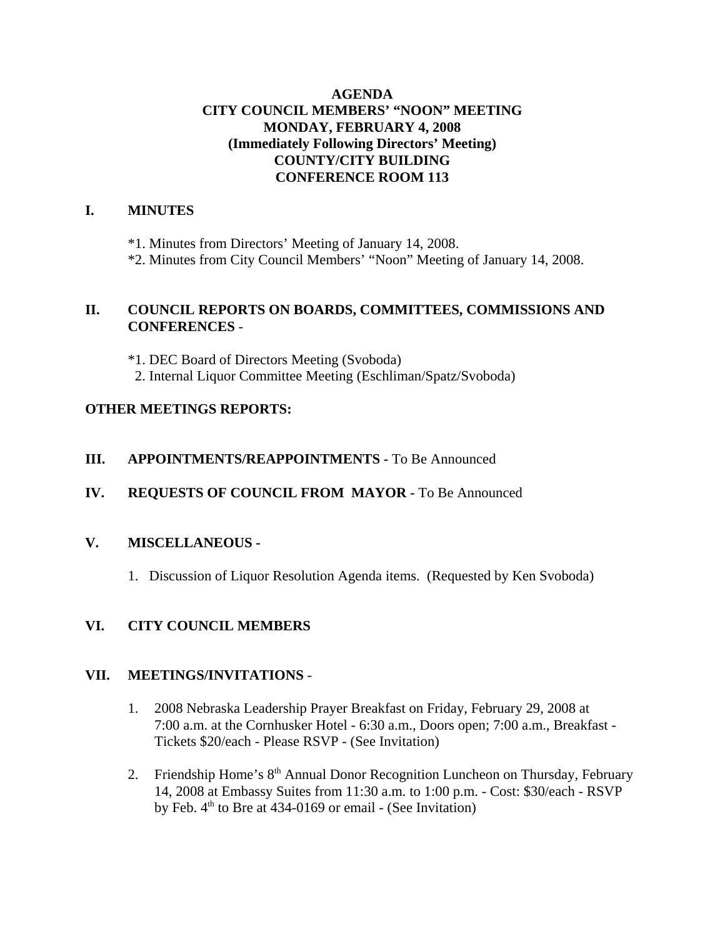#### **AGENDA CITY COUNCIL MEMBERS' "NOON" MEETING MONDAY, FEBRUARY 4, 2008 (Immediately Following Directors' Meeting) COUNTY/CITY BUILDING CONFERENCE ROOM 113**

#### **I. MINUTES**

\*1. Minutes from Directors' Meeting of January 14, 2008. \*2. Minutes from City Council Members' "Noon" Meeting of January 14, 2008.

#### **II. COUNCIL REPORTS ON BOARDS, COMMITTEES, COMMISSIONS AND CONFERENCES** -

\*1. DEC Board of Directors Meeting (Svoboda) 2. Internal Liquor Committee Meeting (Eschliman/Spatz/Svoboda)

#### **OTHER MEETINGS REPORTS:**

#### **III.** APPOINTMENTS/REAPPOINTMENTS - To Be Announced

#### **IV. REQUESTS OF COUNCIL FROM MAYOR -** To Be Announced

#### **V. MISCELLANEOUS -**

1. Discussion of Liquor Resolution Agenda items. (Requested by Ken Svoboda)

#### **VI. CITY COUNCIL MEMBERS**

#### **VII. MEETINGS/INVITATIONS** -

- 1. 2008 Nebraska Leadership Prayer Breakfast on Friday, February 29, 2008 at 7:00 a.m. at the Cornhusker Hotel - 6:30 a.m., Doors open; 7:00 a.m., Breakfast - Tickets \$20/each - Please RSVP - (See Invitation)
- 2. Friendship Home's 8<sup>th</sup> Annual Donor Recognition Luncheon on Thursday, February 14, 2008 at Embassy Suites from 11:30 a.m. to 1:00 p.m. - Cost: \$30/each - RSVP by Feb.  $4<sup>th</sup>$  to Bre at 434-0169 or email - (See Invitation)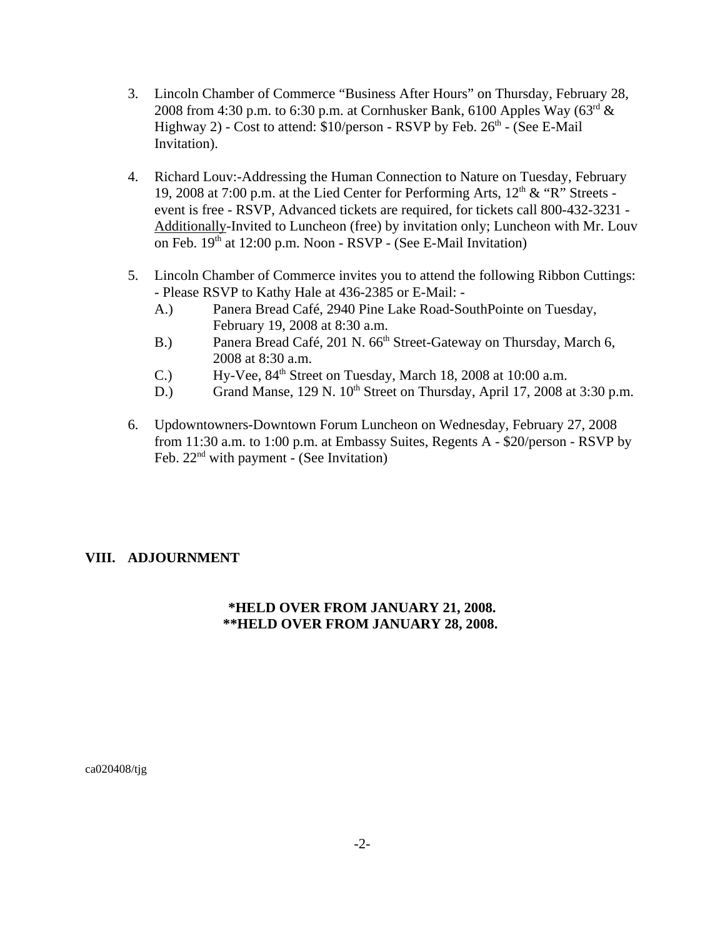- 3. Lincoln Chamber of Commerce "Business After Hours" on Thursday, February 28, 2008 from 4:30 p.m. to 6:30 p.m. at Cornhusker Bank, 6100 Apples Way ( $63<sup>rd</sup>$  & Highway 2) - Cost to attend:  $$10/person$  - RSVP by Feb.  $26<sup>th</sup>$  - (See E-Mail Invitation).
- 4. Richard Louv:-Addressing the Human Connection to Nature on Tuesday, February 19, 2008 at 7:00 p.m. at the Lied Center for Performing Arts,  $12<sup>th</sup> \& ^{\circ}R$ " Streets event is free - RSVP, Advanced tickets are required, for tickets call 800-432-3231 - Additionally-Invited to Luncheon (free) by invitation only; Luncheon with Mr. Louv on Feb. 19<sup>th</sup> at 12:00 p.m. Noon - RSVP - (See E-Mail Invitation)
- 5. Lincoln Chamber of Commerce invites you to attend the following Ribbon Cuttings: - Please RSVP to Kathy Hale at 436-2385 or E-Mail: -
	- A.) Panera Bread Café, 2940 Pine Lake Road-SouthPointe on Tuesday, February 19, 2008 at 8:30 a.m.
	- B.) Panera Bread Café, 201 N. 66<sup>th</sup> Street-Gateway on Thursday, March 6, 2008 at 8:30 a.m.
	- C.) Hy-Vee,  $84<sup>th</sup>$  Street on Tuesday, March 18, 2008 at 10:00 a.m.
	- D.) Grand Manse, 129 N. 10<sup>th</sup> Street on Thursday, April 17, 2008 at 3:30 p.m.
- 6. Updowntowners-Downtown Forum Luncheon on Wednesday, February 27, 2008 from 11:30 a.m. to 1:00 p.m. at Embassy Suites, Regents A - \$20/person - RSVP by Feb.  $22<sup>nd</sup>$  with payment - (See Invitation)

#### **VIII. ADJOURNMENT**

#### **\*HELD OVER FROM JANUARY 21, 2008. \*\*HELD OVER FROM JANUARY 28, 2008.**

ca020408/tjg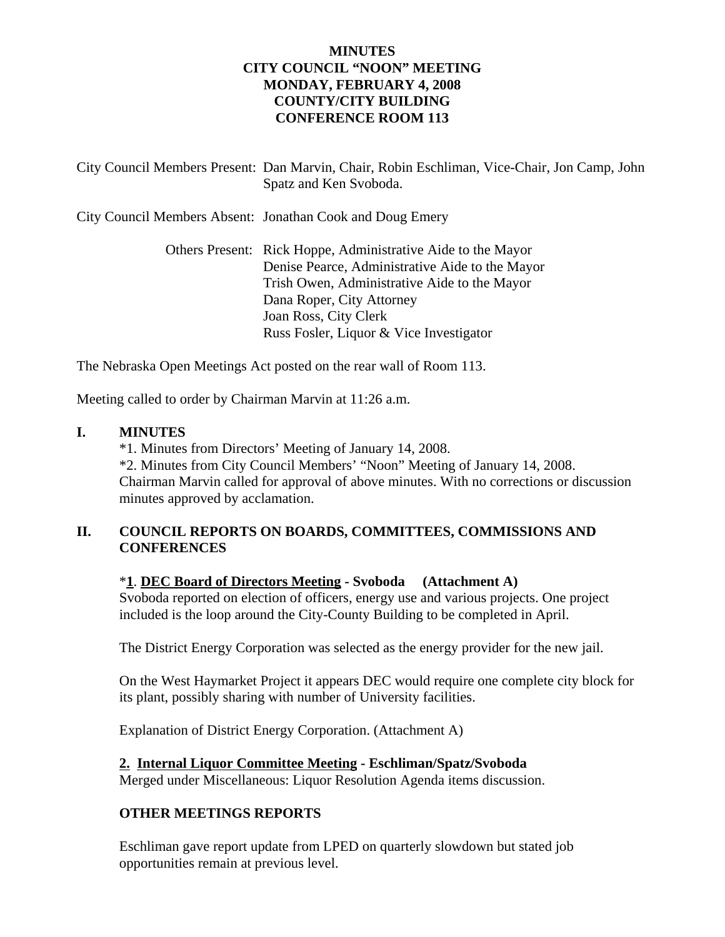#### **MINUTES CITY COUNCIL "NOON" MEETING MONDAY, FEBRUARY 4, 2008 COUNTY/CITY BUILDING CONFERENCE ROOM 113**

| City Council Members Present: Dan Marvin, Chair, Robin Eschliman, Vice-Chair, Jon Camp, John<br>Spatz and Ken Svoboda.                                                                                                                                           |
|------------------------------------------------------------------------------------------------------------------------------------------------------------------------------------------------------------------------------------------------------------------|
| City Council Members Absent: Jonathan Cook and Doug Emery                                                                                                                                                                                                        |
| Others Present: Rick Hoppe, Administrative Aide to the Mayor<br>Denise Pearce, Administrative Aide to the Mayor<br>Trish Owen, Administrative Aide to the Mayor<br>Dana Roper, City Attorney<br>Joan Ross, City Clerk<br>Russ Fosler, Liquor & Vice Investigator |

The Nebraska Open Meetings Act posted on the rear wall of Room 113.

Meeting called to order by Chairman Marvin at 11:26 a.m.

#### **I. MINUTES**

\*1. Minutes from Directors' Meeting of January 14, 2008.

\*2. Minutes from City Council Members' "Noon" Meeting of January 14, 2008. Chairman Marvin called for approval of above minutes. With no corrections or discussion minutes approved by acclamation.

#### **II. COUNCIL REPORTS ON BOARDS, COMMITTEES, COMMISSIONS AND CONFERENCES**

#### \***1**. **DEC Board of Directors Meeting - Svoboda (Attachment A)**

Svoboda reported on election of officers, energy use and various projects. One project included is the loop around the City-County Building to be completed in April.

The District Energy Corporation was selected as the energy provider for the new jail.

On the West Haymarket Project it appears DEC would require one complete city block for its plant, possibly sharing with number of University facilities.

Explanation of District Energy Corporation. (Attachment A)

#### **2. Internal Liquor Committee Meeting - Eschliman/Spatz/Svoboda**

Merged under Miscellaneous: Liquor Resolution Agenda items discussion.

#### **OTHER MEETINGS REPORTS**

Eschliman gave report update from LPED on quarterly slowdown but stated job opportunities remain at previous level.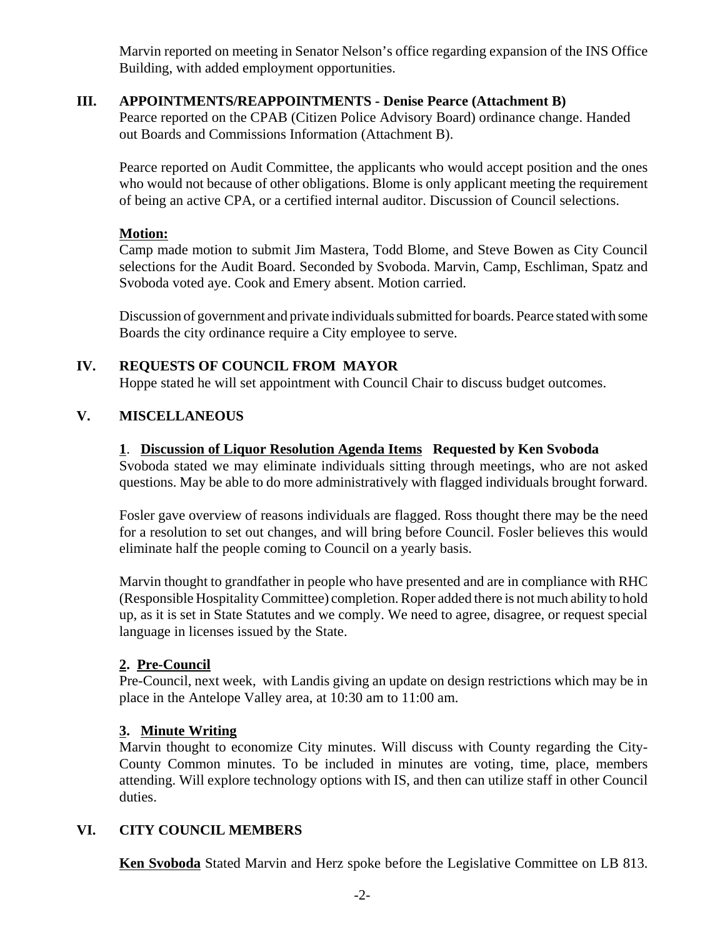Marvin reported on meeting in Senator Nelson's office regarding expansion of the INS Office Building, with added employment opportunities.

#### **III. APPOINTMENTS/REAPPOINTMENTS - Denise Pearce (Attachment B)**

Pearce reported on the CPAB (Citizen Police Advisory Board) ordinance change. Handed out Boards and Commissions Information (Attachment B).

Pearce reported on Audit Committee, the applicants who would accept position and the ones who would not because of other obligations. Blome is only applicant meeting the requirement of being an active CPA, or a certified internal auditor. Discussion of Council selections.

#### **Motion:**

Camp made motion to submit Jim Mastera, Todd Blome, and Steve Bowen as City Council selections for the Audit Board. Seconded by Svoboda. Marvin, Camp, Eschliman, Spatz and Svoboda voted aye. Cook and Emery absent. Motion carried.

Discussion of government and private individuals submitted for boards. Pearce stated with some Boards the city ordinance require a City employee to serve.

#### **IV. REQUESTS OF COUNCIL FROM MAYOR**

Hoppe stated he will set appointment with Council Chair to discuss budget outcomes.

#### **V. MISCELLANEOUS**

#### **1**. **Discussion of Liquor Resolution Agenda Items Requested by Ken Svoboda**

Svoboda stated we may eliminate individuals sitting through meetings, who are not asked questions. May be able to do more administratively with flagged individuals brought forward.

Fosler gave overview of reasons individuals are flagged. Ross thought there may be the need for a resolution to set out changes, and will bring before Council. Fosler believes this would eliminate half the people coming to Council on a yearly basis.

Marvin thought to grandfather in people who have presented and are in compliance with RHC (Responsible Hospitality Committee) completion. Roper added there is not much ability to hold up, as it is set in State Statutes and we comply. We need to agree, disagree, or request special language in licenses issued by the State.

#### **2. Pre-Council**

Pre-Council, next week, with Landis giving an update on design restrictions which may be in place in the Antelope Valley area, at 10:30 am to 11:00 am.

#### **3. Minute Writing**

Marvin thought to economize City minutes. Will discuss with County regarding the City-County Common minutes. To be included in minutes are voting, time, place, members attending. Will explore technology options with IS, and then can utilize staff in other Council duties.

#### **VI. CITY COUNCIL MEMBERS**

**Ken Svoboda** Stated Marvin and Herz spoke before the Legislative Committee on LB 813.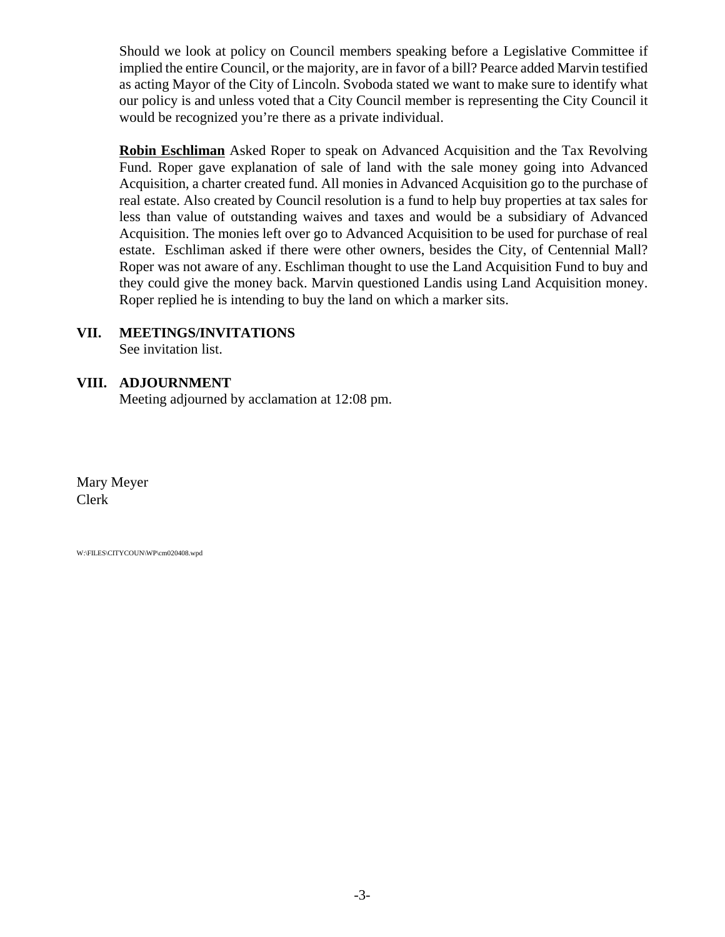Should we look at policy on Council members speaking before a Legislative Committee if implied the entire Council, or the majority, are in favor of a bill? Pearce added Marvin testified as acting Mayor of the City of Lincoln. Svoboda stated we want to make sure to identify what our policy is and unless voted that a City Council member is representing the City Council it would be recognized you're there as a private individual.

**Robin Eschliman** Asked Roper to speak on Advanced Acquisition and the Tax Revolving Fund. Roper gave explanation of sale of land with the sale money going into Advanced Acquisition, a charter created fund. All monies in Advanced Acquisition go to the purchase of real estate. Also created by Council resolution is a fund to help buy properties at tax sales for less than value of outstanding waives and taxes and would be a subsidiary of Advanced Acquisition. The monies left over go to Advanced Acquisition to be used for purchase of real estate. Eschliman asked if there were other owners, besides the City, of Centennial Mall? Roper was not aware of any. Eschliman thought to use the Land Acquisition Fund to buy and they could give the money back. Marvin questioned Landis using Land Acquisition money. Roper replied he is intending to buy the land on which a marker sits.

#### **VII. MEETINGS/INVITATIONS**

See invitation list.

#### **VIII. ADJOURNMENT**

Meeting adjourned by acclamation at 12:08 pm.

Mary Meyer Clerk

W:\FILES\CITYCOUN\WP\cm020408.wpd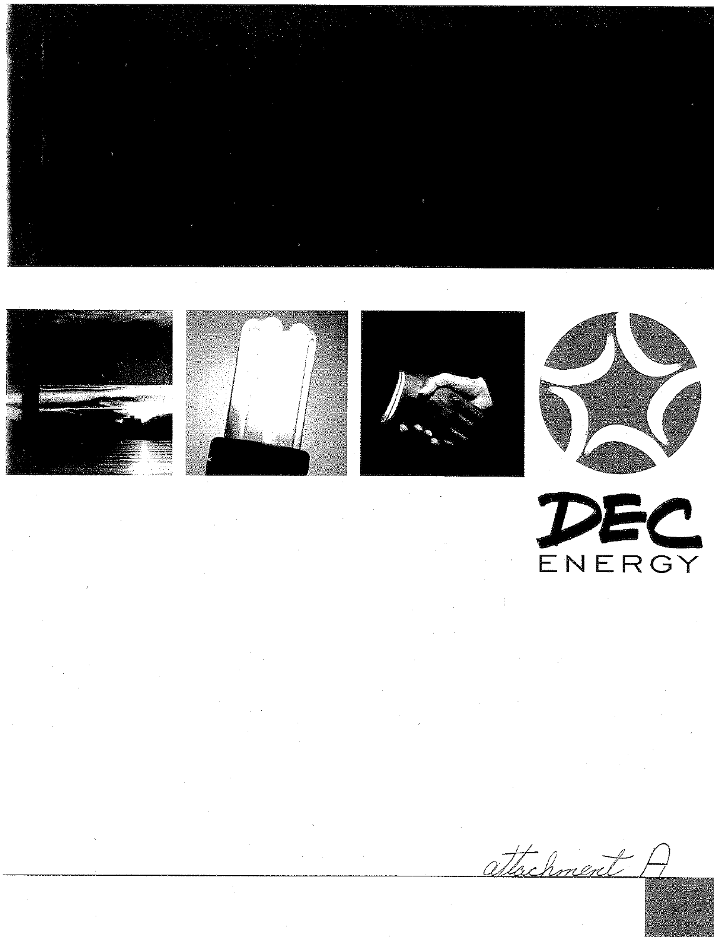





attachment



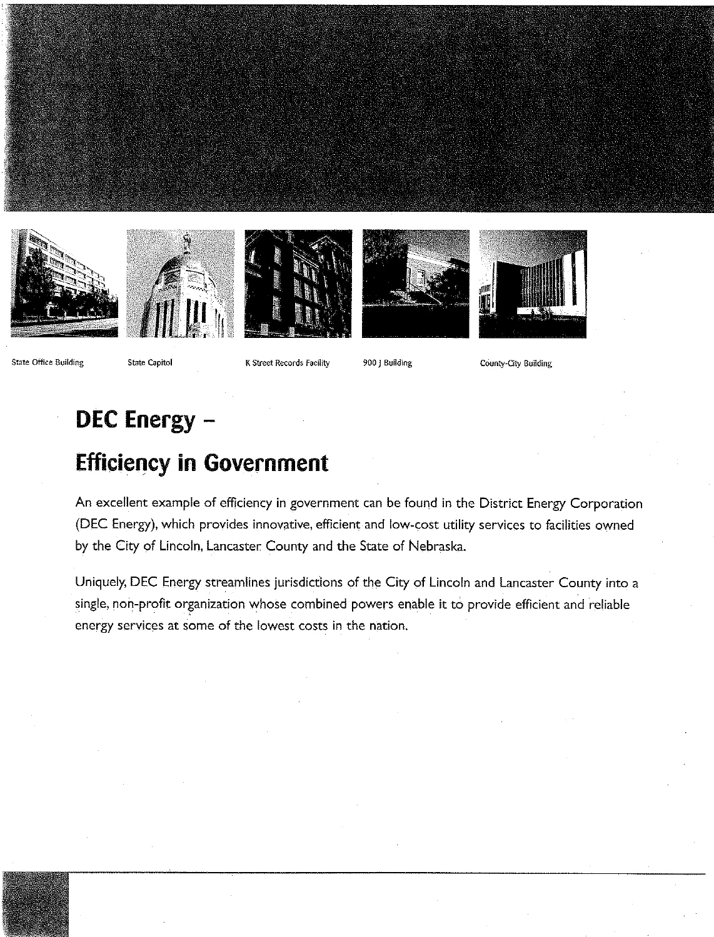







State Office Building

State Capitol

K Street Records Facility

900 | Building

County-City Building

## DEC Energy -

# **Efficiency in Government**

An excellent example of efficiency in government can be found in the District Energy Corporation (DEC Energy), which provides innovative, efficient and low-cost utility services to facilities owned by the City of Lincoln, Lancaster County and the State of Nebraska.

Uniquely, DEC Energy streamlines jurisdictions of the City of Lincoln and Lancaster County into a single, non-profit organization whose combined powers enable it to provide efficient and reliable energy services at some of the lowest costs in the nation.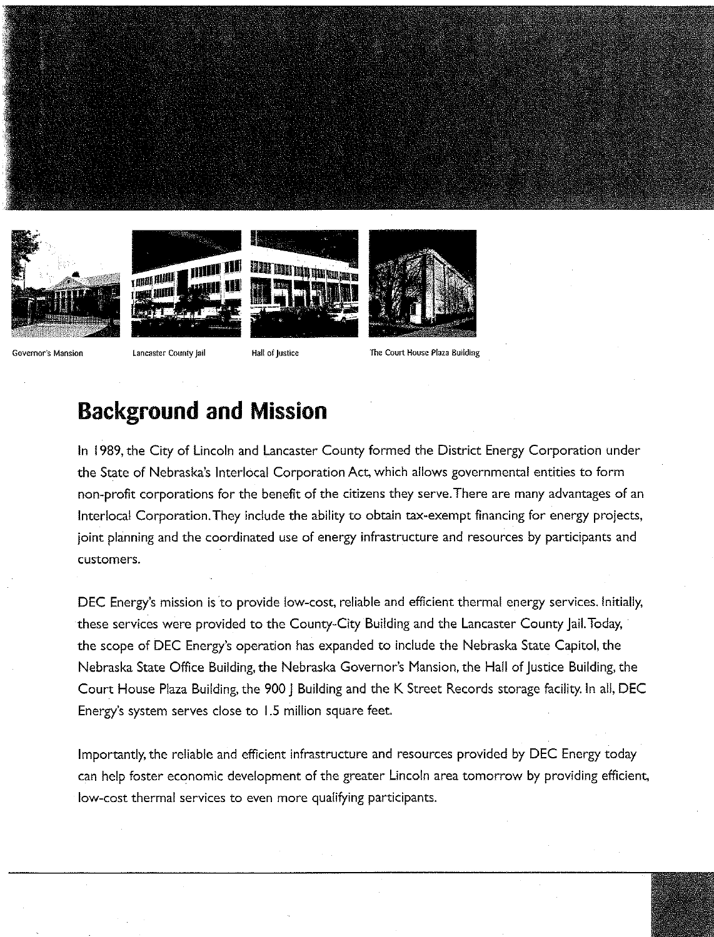









Governor's Mansion

Lancaster County Jail

Hall of Justice

The Court House Plaza Building

## **Background and Mission**

In 1989, the City of Lincoln and Lancaster County formed the District Energy Corporation under the State of Nebraska's Interlocal Corporation Act, which allows governmental entities to form non-profit corporations for the benefit of the citizens they serve. There are many advantages of an Interlocal Corporation. They include the ability to obtain tax-exempt financing for energy projects, joint planning and the coordinated use of energy infrastructure and resources by participants and customers.

DEC Energy's mission is to provide low-cost, reliable and efficient thermal energy services. Initially, these services were provided to the County-City Building and the Lancaster County Jail. Today, the scope of DEC Energy's operation has expanded to include the Nebraska State Capitol, the Nebraska State Office Building, the Nebraska Governor's Mansion, the Hall of Justice Building, the Court House Plaza Building, the 900 | Building and the K Street Records storage facility. In all, DEC Energy's system serves close to 1.5 million square feet.

Importantly, the reliable and efficient infrastructure and resources provided by DEC Energy today can help foster economic development of the greater Lincoln area tomorrow by providing efficient, low-cost thermal services to even more qualifying participants.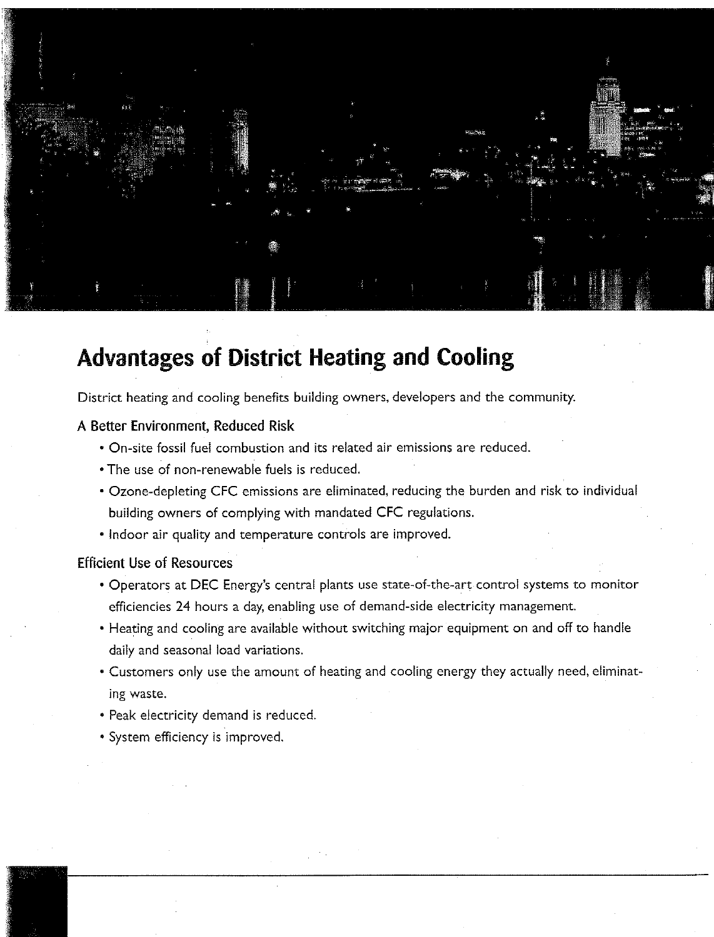

## **Advantages of District Heating and Cooling**

District heating and cooling benefits building owners, developers and the community.

#### A Better Environment, Reduced Risk

- On-site fossil fuel combustion and its related air emissions are reduced.
- . The use of non-renewable fuels is reduced.
- Ozone-depleting CFC emissions are eliminated, reducing the burden and risk to individual building owners of complying with mandated CFC regulations.
- Indoor air quality and temperature controls are improved.

#### **Efficient Use of Resources**

- Operators at DEC Energy's central plants use state-of-the-art control systems to monitor efficiencies 24 hours a day, enabling use of demand-side electricity management.
- Heating and cooling are available without switching major equipment on and off to handle daily and seasonal load variations.
- Customers only use the amount of heating and cooling energy they actually need, eliminating waste.
- · Peak electricity demand is reduced.
- · System efficiency is improved.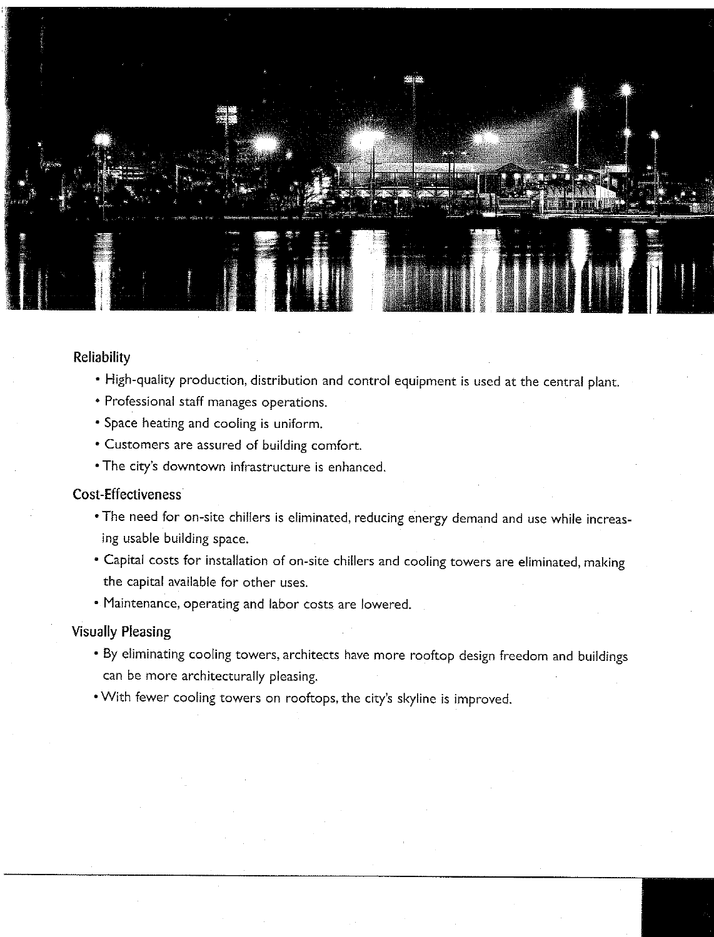

#### Reliability

- . High-quality production, distribution and control equipment is used at the central plant.
- Professional staff manages operations.
- Space heating and cooling is uniform.
- Customers are assured of building comfort.
- The city's downtown infrastructure is enhanced.

#### Cost-Effectiveness

- . The need for on-site chillers is eliminated, reducing energy demand and use while increasing usable building space.
- Capital costs for installation of on-site chillers and cooling towers are eliminated, making the capital available for other uses.
- Maintenance, operating and labor costs are lowered.

#### **Visually Pleasing**

- . By eliminating cooling towers, architects have more rooftop design freedom and buildings can be more architecturally pleasing.
- . With fewer cooling towers on rooftops, the city's skyline is improved.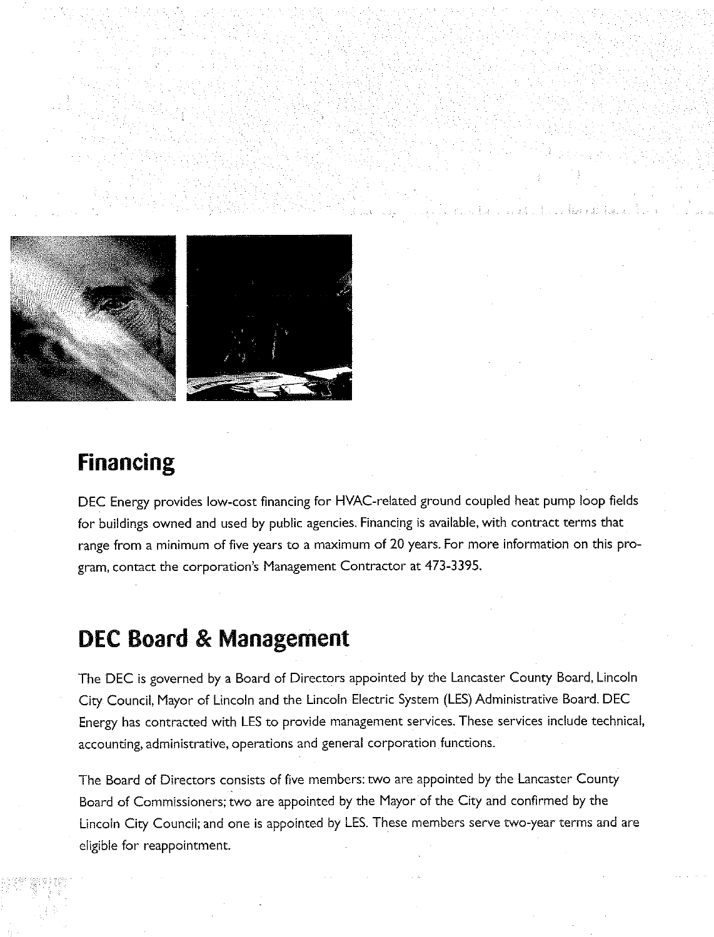

## **Financing**

DEC Energy provides low-cost financing for HVAC-related ground coupled heat pump loop fields for buildings owned and used by public agencies. Financing is available, with contract terms that range from a minimum of five years to a maximum of 20 years. For more information on this program, contact the corporation's Management Contractor at 473-3395.

## **DEC Board & Management**

The DEC is governed by a Board of Directors appointed by the Lancaster County Board, Lincoln City Council, Mayor of Lincoln and the Lincoln Electric System (LES) Administrative Board. DEC Energy has contracted with LES to provide management services. These services include technical, accounting, administrative, operations and general corporation functions.

The Board of Directors consists of five members: two are appointed by the Lancaster County Board of Commissioners; two are appointed by the Mayor of the City and confirmed by the Lincoln City Council; and one is appointed by LES. These members serve two-year terms and are eligible for reappointment.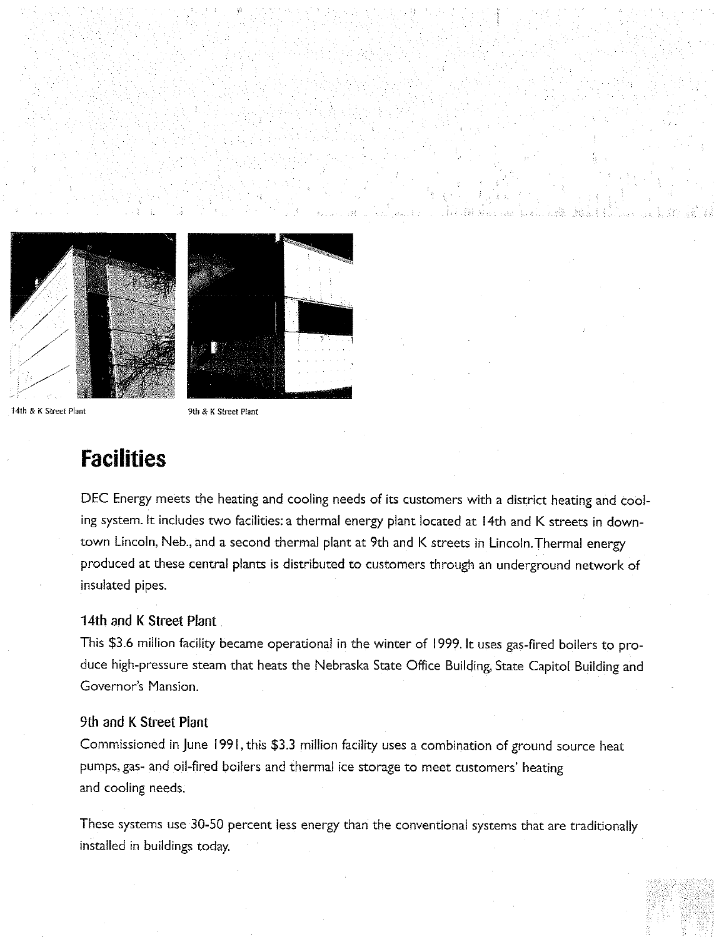



14th & K Street Plant

9th & K Street Plant

## **Facilities**

DEC Energy meets the heating and cooling needs of its customers with a district heating and cooling system. It includes two facilities: a thermal energy plant located at 14th and K streets in downtown Lincoln, Neb., and a second thermal plant at 9th and K streets in Lincoln. Thermal energy produced at these central plants is distributed to customers through an underground network of insulated pipes.

#### 14th and K Street Plant

This \$3.6 million facility became operational in the winter of 1999. It uses gas-fired boilers to produce high-pressure steam that heats the Nebraska State Office Building, State Capitol Building and Governor's Mansion.

#### 9th and K Street Plant

Commissioned in June 1991, this \$3.3 million facility uses a combination of ground source heat pumps, gas- and oil-fired boilers and thermal ice storage to meet customers' heating and cooling needs.

These systems use 30-50 percent less energy than the conventional systems that are traditionally installed in buildings today.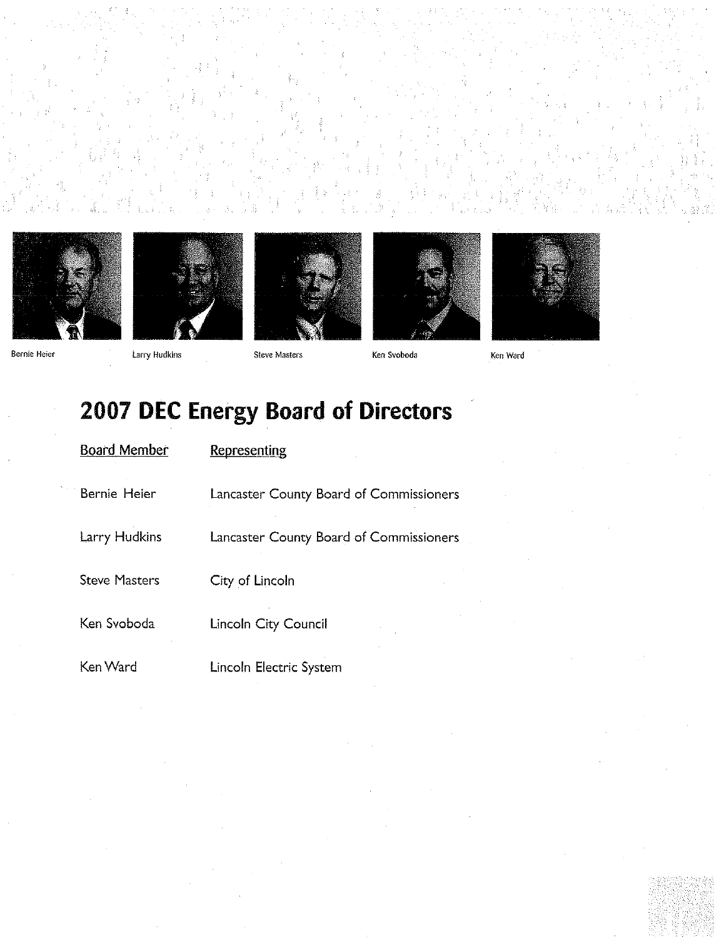











Ken Ward

# 2007 DEC Energy Board of Directors

| <b>Board Member</b>  | Representing                            |
|----------------------|-----------------------------------------|
| Bernie Heier         | Lancaster County Board of Commissioners |
| Larry Hudkins        | Lancaster County Board of Commissioners |
| <b>Steve Masters</b> | City of Lincoln                         |
| Ken Svoboda          | Lincoln City Council                    |
| Ken Ward             | Lincoln Electric System                 |

Bernie Heier

Larry Hudkins

Steve Masters

Ken Svoboda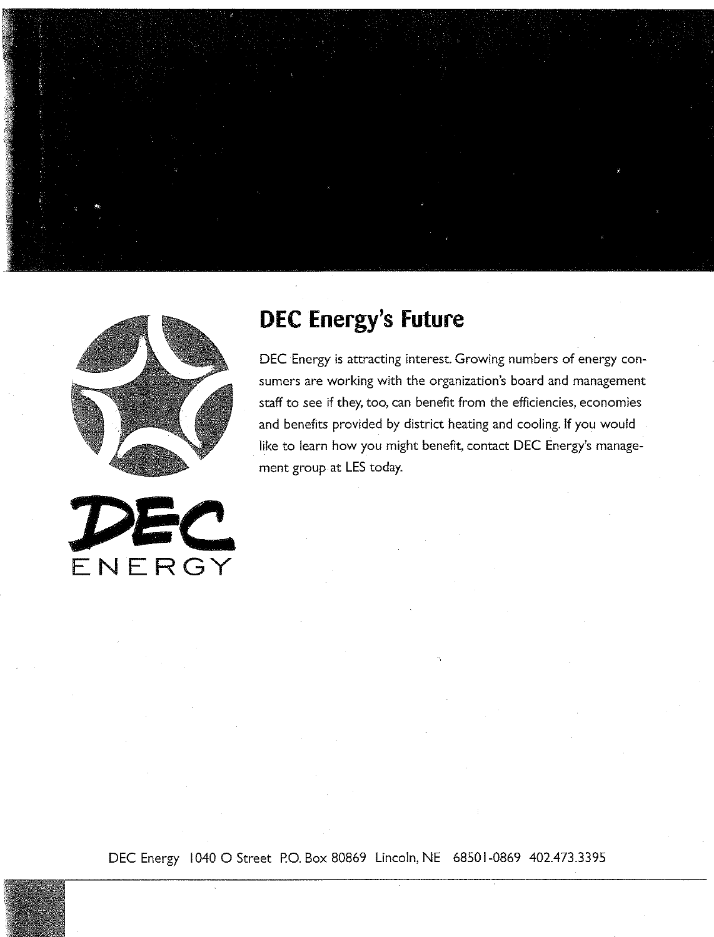





# **DEC Energy's Future**

DEC Energy is attracting interest. Growing numbers of energy consumers are working with the organization's board and management staff to see if they, too, can benefit from the efficiencies, economies and benefits provided by district heating and cooling. If you would like to learn how you might benefit, contact DEC Energy's management group at LES today.

DEC Energy 1040 O Street P.O. Box 80869 Lincoln, NE 68501-0869 402.473.3395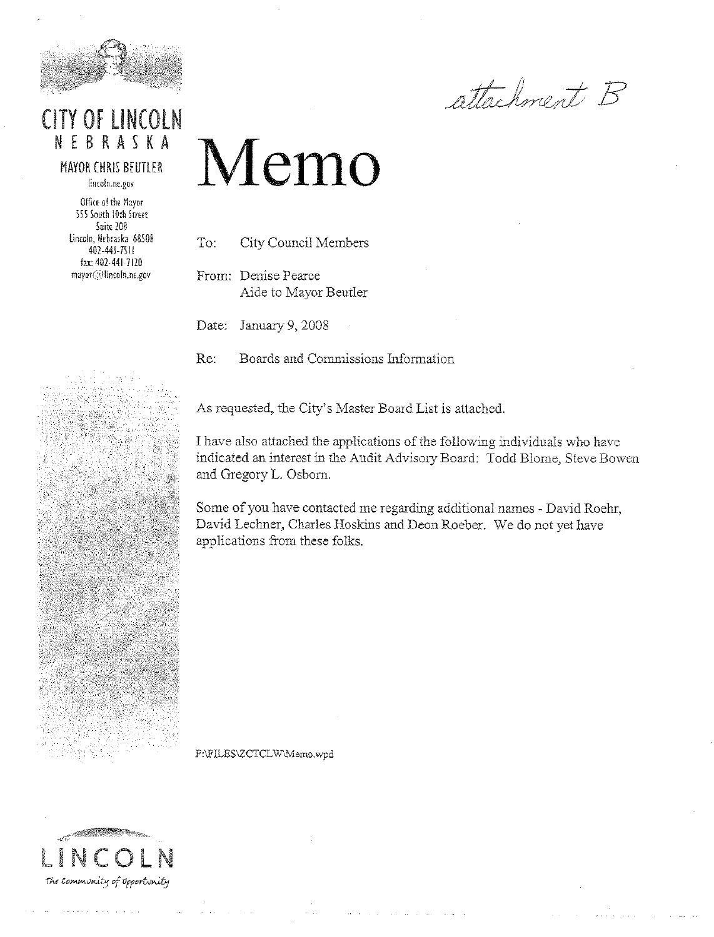

### **CITY OF LINCOLN** NEBRASKA

**MAYOR CHRIS BEUTLER** lincoln.ne.gov

Office of the Mayor 555 South Horn Street Suite 208 Lincoln, Nebraska 68508 402-441-7511 fax: 402-441-7120 mayor@lincoln.ne.gov

attachment B

# Memo

To: **City Council Members** 

From: Denise Pearce Aide to Mayor Beutler

Date: January 9, 2008

Re: Boards and Commissions Information

As requested, the City's Master Board List is attached.

I have also attached the applications of the following individuals who have indicated an interest in the Audit Advisory Board: Todd Blome, Steve Bowen and Gregory L. Osborn.

Some of you have contacted me regarding additional names - David Roehr, David Lechner, Charles Hoskins and Deon Roeber. We do not yet have applications from these folks.

F:\FILES\ZCTCLW\Memo.wpd